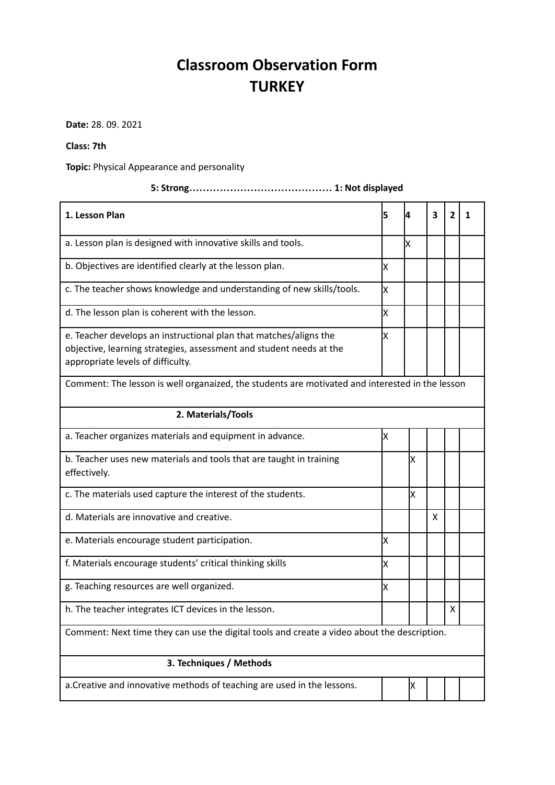## **Classroom Observation Form TURKEY**

**Date:** 28. 09. 2021

## **Class: 7th**

**Topic:** Physical Appearance and personality

| 1. Lesson Plan                                                                                                                                                                | 5   | 4 | 3 | $\overline{2}$ | 1 |  |  |  |
|-------------------------------------------------------------------------------------------------------------------------------------------------------------------------------|-----|---|---|----------------|---|--|--|--|
| a. Lesson plan is designed with innovative skills and tools.                                                                                                                  |     | X |   |                |   |  |  |  |
| b. Objectives are identified clearly at the lesson plan.                                                                                                                      | lx. |   |   |                |   |  |  |  |
| c. The teacher shows knowledge and understanding of new skills/tools.                                                                                                         | Ιx  |   |   |                |   |  |  |  |
| d. The lesson plan is coherent with the lesson.                                                                                                                               | X   |   |   |                |   |  |  |  |
| e. Teacher develops an instructional plan that matches/aligns the<br>objective, learning strategies, assessment and student needs at the<br>appropriate levels of difficulty. | X   |   |   |                |   |  |  |  |
| Comment: The lesson is well organaized, the students are motivated and interested in the lesson                                                                               |     |   |   |                |   |  |  |  |
| 2. Materials/Tools                                                                                                                                                            |     |   |   |                |   |  |  |  |
| a. Teacher organizes materials and equipment in advance.                                                                                                                      | Ιx  |   |   |                |   |  |  |  |
| b. Teacher uses new materials and tools that are taught in training<br>effectively.                                                                                           |     | Χ |   |                |   |  |  |  |
| c. The materials used capture the interest of the students.                                                                                                                   |     | X |   |                |   |  |  |  |
| d. Materials are innovative and creative.                                                                                                                                     |     |   | X |                |   |  |  |  |
| e. Materials encourage student participation.                                                                                                                                 | Ιx  |   |   |                |   |  |  |  |
| f. Materials encourage students' critical thinking skills                                                                                                                     | Ιx  |   |   |                |   |  |  |  |
| g. Teaching resources are well organized.                                                                                                                                     | X   |   |   |                |   |  |  |  |
| h. The teacher integrates ICT devices in the lesson.                                                                                                                          |     |   |   | X              |   |  |  |  |
| Comment: Next time they can use the digital tools and create a video about the description.                                                                                   |     |   |   |                |   |  |  |  |
| 3. Techniques / Methods                                                                                                                                                       |     |   |   |                |   |  |  |  |
| a. Creative and innovative methods of teaching are used in the lessons.                                                                                                       |     | х |   |                |   |  |  |  |

## **5: Strong…………………………………… 1: Not displayed**